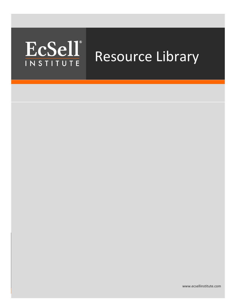## adipiscing quam at turpis. Aliquam at turpis,  $\mathbf{A}$ mauris aliquet fringilla. INSTITUTE Resource Library

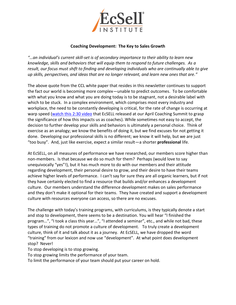

## **Coaching Development: The Key to Sales Growth**

*"…an individual's current skill-set is of secondary importance to their ability to learn new knowledge, skills and behaviors that will equip them to respond to future challenges. As a result, our focus must shift to finding and developing individuals who are continually able to give up skills, perspectives, and ideas that are no longer relevant, and learn new ones that are."*

The above quote from the CCL white paper that resides in this newsletter continues to support the fact our world is becoming more complex—unable to predict outcomes. To be comfortable with what you know and what you are doing today is to be stagnant, not a desirable label with which to be stuck. In a complex environment, which comprises most every industry and workplace, the need to be constantly developing is critical, for the rate of change is occurring at warp speed [\(watch this 2:30 video](http://www.youtube.com/watch?v=Sw_D0J7v-rY) that EcSELL released at our April Coaching Summit to grasp the significance of how this impacts us as coaches). While sometimes not easy to accept, the decision to further develop your skills and behaviors is ultimately a personal choice. Think of exercise as an analogy; we know the benefits of doing it, but we find excuses for not getting it done. Developing our professional skills is no different; we know it will help, but we are just "too busy". And, just like exercise, expect a similar result—a shorter **professional** life.

At EcSELL, on all measures of performance we have researched, our members score higher than non-members. Is that because we do so much for them? Perhaps (would love to say unequivocally "yes"!), but it has much more to do with our members and their attitude regarding development, their personal desire to grow, and their desire to have their teams achieve higher levels of performance. I can't say for sure they are all organic learners, but if not they have certainly elected to find a resource that builds and/or enhances a development culture. Our members understand the difference development makes on sales performance and they don't make it optional for their teams. They have created and support a development culture with resources everyone can access, so there are no excuses.

The challenge with today's training programs, with curriculums, is they typically denote a start and stop to development, there seems to be a destination. You will hear "I finished the program…", "I took a class this year…", "I attended a seminar", etc., and while not bad, these types of training do not promote a culture of development. To truly create a development culture, think of it and talk about it as a journey. At EcSELL, we have dropped the word "training" from our lexicon and now use "development". At what point does development stop? Never!

To stop developing is to stop growing.

To stop growing limits the performance of your team.

To limit the performance of your team should put your career on hold.